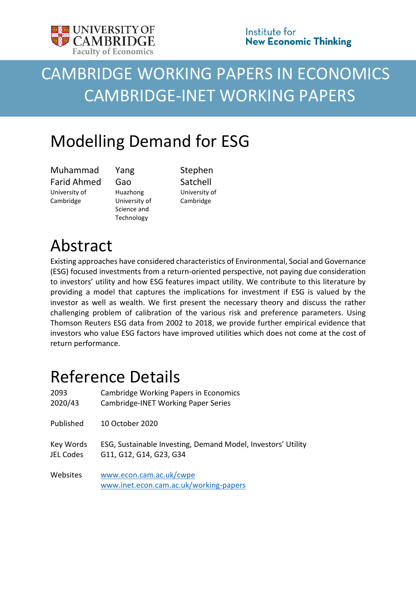

# CAMBRIDGE WORKING PAPERS IN ECONOMICS CAMBRIDGE-INET WORKING PAPERS

## Modelling Demand for ESG

Muhammad Farid Ahmed University of Cambridge

Yang Gao Huazhong University of Science and Technology

Stephen Satchell University of Cambridge

# Abstract

Existing approaches have considered characteristics of Environmental, Social and Governance (ESG) focused investments from a return-oriented perspective, not paying due consideration to investors' utility and how ESG features impact utility. We contribute to this literature by providing a model that captures the implications for investment if ESG is valued by the investor as well as wealth. We first present the necessary theory and discuss the rather challenging problem of calibration of the various risk and preference parameters. Using Thomson Reuters ESG data from 2002 to 2018, we provide further empirical evidence that investors who value ESG factors have improved utilities which does not come at the cost of return performance.

### Reference Details

| 2093      | <b>Cambridge Working Papers in Economics</b>                      |
|-----------|-------------------------------------------------------------------|
| 2020/43   | <b>Cambridge-INET Working Paper Series</b>                        |
| Published | 10 October 2020                                                   |
| Key Words | ESG, Sustainable Investing, Demand Model, Investors' Utility      |
| JEL Codes | G11, G12, G14, G23, G34                                           |
| Websites  | www.econ.cam.ac.uk/cwpe<br>www.inet.econ.cam.ac.uk/working-papers |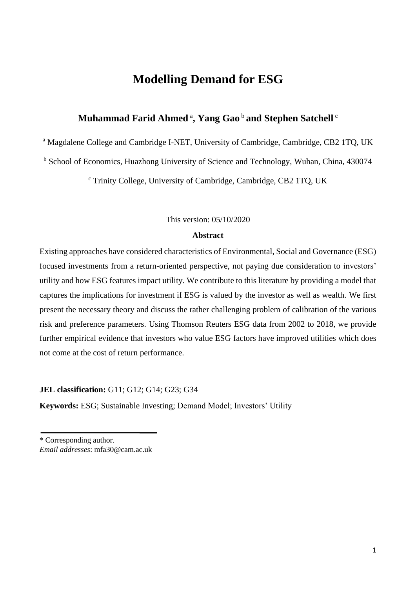### **Modelling Demand for ESG**

### **Muhammad Farid Ahmed** <sup>a</sup> **, Yang Gao** <sup>b</sup>**and Stephen Satchell** <sup>c</sup>

<sup>a</sup> Magdalene College and Cambridge I-NET, University of Cambridge, Cambridge, CB2 1TO, UK

<sup>b</sup> School of Economics, Huazhong University of Science and Technology, Wuhan, China, 430074

<sup>c</sup> Trinity College, University of Cambridge, Cambridge, CB2 1TQ, UK

#### This version: 05/10/2020

#### **Abstract**

Existing approaches have considered characteristics of Environmental, Social and Governance (ESG) focused investments from a return-oriented perspective, not paying due consideration to investors' utility and how ESG features impact utility. We contribute to this literature by providing a model that captures the implications for investment if ESG is valued by the investor as well as wealth. We first present the necessary theory and discuss the rather challenging problem of calibration of the various risk and preference parameters. Using Thomson Reuters ESG data from 2002 to 2018, we provide further empirical evidence that investors who value ESG factors have improved utilities which does not come at the cost of return performance.

**JEL classification:** G11; G12; G14; G23; G34

**Keywords:** ESG; Sustainable Investing; Demand Model; Investors' Utility

\* Corresponding author. *Email addresses*: mfa30@cam.ac.uk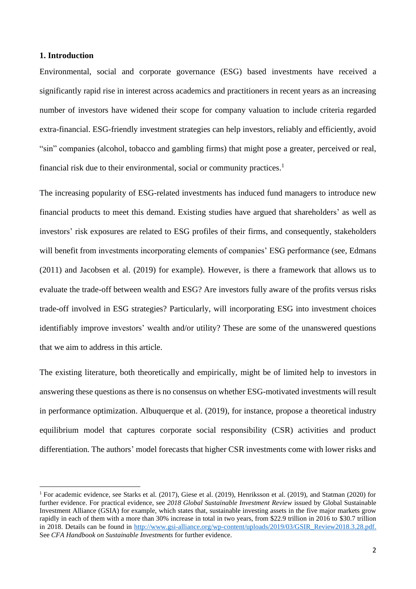#### **1. Introduction**

Environmental, social and corporate governance (ESG) based investments have received a significantly rapid rise in interest across academics and practitioners in recent years as an increasing number of investors have widened their scope for company valuation to include criteria regarded extra-financial. ESG-friendly investment strategies can help investors, reliably and efficiently, avoid "sin" companies (alcohol, tobacco and gambling firms) that might pose a greater, perceived or real, financial risk due to their environmental, social or community practices.<sup>1</sup>

The increasing popularity of ESG-related investments has induced fund managers to introduce new financial products to meet this demand. Existing studies have argued that shareholders' as well as investors' risk exposures are related to ESG profiles of their firms, and consequently, stakeholders will benefit from investments incorporating elements of companies' ESG performance (see, Edmans (2011) and Jacobsen et al. (2019) for example). However, is there a framework that allows us to evaluate the trade-off between wealth and ESG? Are investors fully aware of the profits versus risks trade-off involved in ESG strategies? Particularly, will incorporating ESG into investment choices identifiably improve investors' wealth and/or utility? These are some of the unanswered questions that we aim to address in this article.

The existing literature, both theoretically and empirically, might be of limited help to investors in answering these questions as there is no consensus on whether ESG-motivated investments will result in performance optimization. Albuquerque et al. (2019), for instance, propose a theoretical industry equilibrium model that captures corporate social responsibility (CSR) activities and product differentiation. The authors' model forecasts that higher CSR investments come with lower risks and

<sup>&</sup>lt;sup>1</sup> For academic evidence, see Starks et al. (2017), Giese et al. (2019), Henriksson et al. (2019), and Statman (2020) for further evidence. For practical evidence, see *2018 Global Sustainable Investment Review* issued by Global Sustainable Investment Alliance (GSIA) for example, which states that, sustainable investing assets in the five major markets grow rapidly in each of them with a more than 30% increase in total in two years, from \$22.9 trillion in 2016 to \$30.7 trillion in 2018. Details can be found in [http://www.gsi-alliance.org/wp-content/uploads/2019/03/GSIR\\_Review2018.3.28.pdf.](http://www.gsi-alliance.org/wp-content/uploads/2019/03/GSIR_Review2018.3.28.pdf) See *CFA Handbook on Sustainable Investments* for further evidence.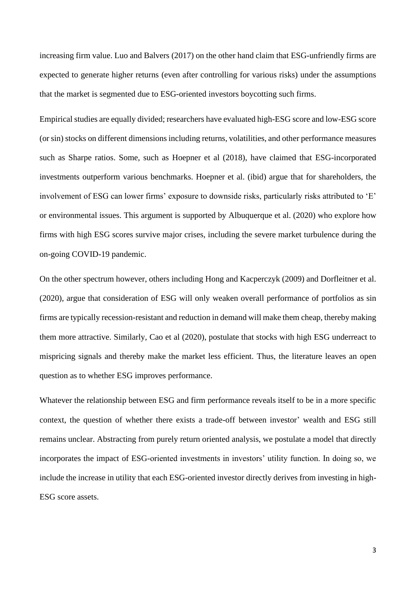increasing firm value. Luo and Balvers (2017) on the other hand claim that ESG-unfriendly firms are expected to generate higher returns (even after controlling for various risks) under the assumptions that the market is segmented due to ESG-oriented investors boycotting such firms.

Empirical studies are equally divided; researchers have evaluated high-ESG score and low-ESG score (or sin) stocks on different dimensions including returns, volatilities, and other performance measures such as Sharpe ratios. Some, such as Hoepner et al (2018), have claimed that ESG-incorporated investments outperform various benchmarks. Hoepner et al. (ibid) argue that for shareholders, the involvement of ESG can lower firms' exposure to downside risks, particularly risks attributed to 'E' or environmental issues. This argument is supported by Albuquerque et al. (2020) who explore how firms with high ESG scores survive major crises, including the severe market turbulence during the on-going COVID-19 pandemic.

On the other spectrum however, others including Hong and Kacperczyk (2009) and Dorfleitner et al. (2020), argue that consideration of ESG will only weaken overall performance of portfolios as sin firms are typically recession-resistant and reduction in demand will make them cheap, thereby making them more attractive. Similarly, Cao et al (2020), postulate that stocks with high ESG underreact to mispricing signals and thereby make the market less efficient. Thus, the literature leaves an open question as to whether ESG improves performance.

Whatever the relationship between ESG and firm performance reveals itself to be in a more specific context, the question of whether there exists a trade-off between investor' wealth and ESG still remains unclear. Abstracting from purely return oriented analysis, we postulate a model that directly incorporates the impact of ESG-oriented investments in investors' utility function. In doing so, we include the increase in utility that each ESG-oriented investor directly derives from investing in high-ESG score assets.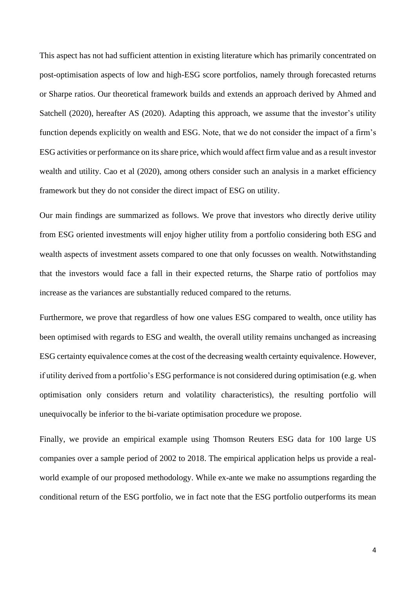This aspect has not had sufficient attention in existing literature which has primarily concentrated on post-optimisation aspects of low and high-ESG score portfolios, namely through forecasted returns or Sharpe ratios. Our theoretical framework builds and extends an approach derived by Ahmed and Satchell (2020), hereafter AS (2020). Adapting this approach, we assume that the investor's utility function depends explicitly on wealth and ESG. Note, that we do not consider the impact of a firm's ESG activities or performance on its share price, which would affect firm value and as a result investor wealth and utility. Cao et al (2020), among others consider such an analysis in a market efficiency framework but they do not consider the direct impact of ESG on utility.

Our main findings are summarized as follows. We prove that investors who directly derive utility from ESG oriented investments will enjoy higher utility from a portfolio considering both ESG and wealth aspects of investment assets compared to one that only focusses on wealth. Notwithstanding that the investors would face a fall in their expected returns, the Sharpe ratio of portfolios may increase as the variances are substantially reduced compared to the returns.

Furthermore, we prove that regardless of how one values ESG compared to wealth, once utility has been optimised with regards to ESG and wealth, the overall utility remains unchanged as increasing ESG certainty equivalence comes at the cost of the decreasing wealth certainty equivalence. However, if utility derived from a portfolio's ESG performance is not considered during optimisation (e.g. when optimisation only considers return and volatility characteristics), the resulting portfolio will unequivocally be inferior to the bi-variate optimisation procedure we propose.

Finally, we provide an empirical example using Thomson Reuters ESG data for 100 large US companies over a sample period of 2002 to 2018. The empirical application helps us provide a realworld example of our proposed methodology. While ex-ante we make no assumptions regarding the conditional return of the ESG portfolio, we in fact note that the ESG portfolio outperforms its mean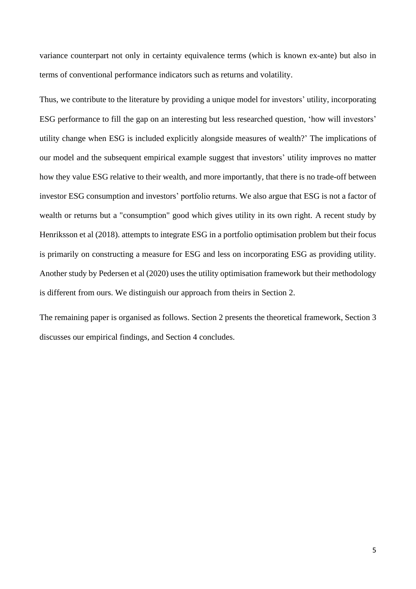variance counterpart not only in certainty equivalence terms (which is known ex-ante) but also in terms of conventional performance indicators such as returns and volatility.

Thus, we contribute to the literature by providing a unique model for investors' utility, incorporating ESG performance to fill the gap on an interesting but less researched question, 'how will investors' utility change when ESG is included explicitly alongside measures of wealth?' The implications of our model and the subsequent empirical example suggest that investors' utility improves no matter how they value ESG relative to their wealth, and more importantly, that there is no trade-off between investor ESG consumption and investors' portfolio returns. We also argue that ESG is not a factor of wealth or returns but a "consumption" good which gives utility in its own right. A recent study by Henriksson et al (2018). attempts to integrate ESG in a portfolio optimisation problem but their focus is primarily on constructing a measure for ESG and less on incorporating ESG as providing utility. Another study by Pedersen et al (2020) uses the utility optimisation framework but their methodology is different from ours. We distinguish our approach from theirs in Section 2.

The remaining paper is organised as follows. Section 2 presents the theoretical framework, Section 3 discusses our empirical findings, and Section 4 concludes.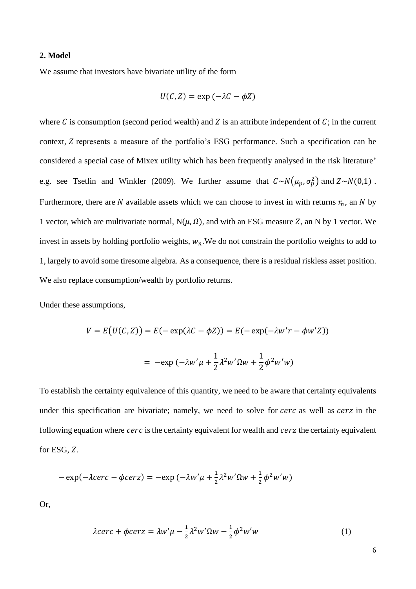#### **2. Model**

We assume that investors have bivariate utility of the form

$$
U(C,Z) = \exp(-\lambda C - \phi Z)
$$

where  $C$  is consumption (second period wealth) and  $Z$  is an attribute independent of  $C$ ; in the current context, *Z* represents a measure of the portfolio's ESG performance. Such a specification can be considered a special case of Mixex utility which has been frequently analysed in the risk literature' e.g. see Tsetlin and Winkler (2009). We further assume that  $C \sim N(\mu_p, \sigma_p^2)$  and  $Z \sim N(0, 1)$ . Furthermore, there are N available assets which we can choose to invest in with returns  $r_n$ , an N by 1 vector, which are multivariate normal,  $N(\mu,\Omega)$ , and with an ESG measure Z, an N by 1 vector. We invest in assets by holding portfolio weights,  $w_n$ . We do not constrain the portfolio weights to add to 1, largely to avoid some tiresome algebra. As a consequence, there is a residual riskless asset position. We also replace consumption/wealth by portfolio returns.

Under these assumptions,

$$
V = E(U(C, Z)) = E(-\exp(\lambda C - \phi Z)) = E(-\exp(-\lambda w'r - \phi w'Z))
$$

$$
= -\exp(-\lambda w'\mu + \frac{1}{2}\lambda^2 w'\Omega w + \frac{1}{2}\phi^2 w'w)
$$

To establish the certainty equivalence of this quantity, we need to be aware that certainty equivalents under this specification are bivariate; namely, we need to solve for cerc as well as cerz in the following equation where  $cerc$  is the certainty equivalent for wealth and  $cerc$  the certainty equivalent for ESG,  $Z$ .

$$
-\exp(-\lambda cerc - \phi cerc) = -\exp(-\lambda w'\mu + \frac{1}{2}\lambda^2 w'\Omega w + \frac{1}{2}\phi^2 w'w)
$$

Or,

$$
\lambda cerc + \phi cerc = \lambda w' \mu - \frac{1}{2} \lambda^2 w' \Omega w - \frac{1}{2} \phi^2 w' w \tag{1}
$$

6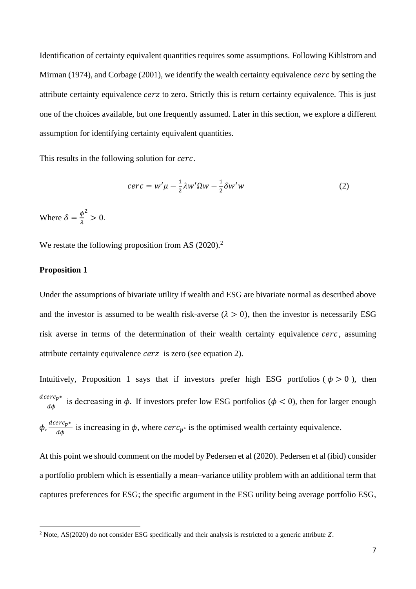Identification of certainty equivalent quantities requires some assumptions. Following Kihlstrom and Mirman (1974), and Corbage (2001), we identify the wealth certainty equivalence  $cerc$  by setting the attribute certainty equivalence *cerz* to zero. Strictly this is return certainty equivalence. This is just one of the choices available, but one frequently assumed. Later in this section, we explore a different assumption for identifying certainty equivalent quantities.

This results in the following solution for *cerc*.

$$
cerc = w'\mu - \frac{1}{2}\lambda w'\Omega w - \frac{1}{2}\delta w'w \tag{2}
$$

Where  $\delta = \frac{\phi}{\lambda}$  $\lambda$  $2^{2} > 0.$ 

We restate the following proposition from AS (2020).<sup>2</sup>

#### **Proposition 1**

Under the assumptions of bivariate utility if wealth and ESG are bivariate normal as described above and the investor is assumed to be wealth risk-averse  $(\lambda > 0)$ , then the investor is necessarily ESG risk averse in terms of the determination of their wealth certainty equivalence  $cerc$ , assuming attribute certainty equivalence *cerz* is zero (see equation 2).

Intuitively, Proposition 1 says that if investors prefer high ESG portfolios ( $\phi > 0$ ), then  $\frac{deerc_{p^*}}{d\phi}$  is decreasing in  $\phi$ . If investors prefer low ESG portfolios ( $\phi$  < 0), then for larger enough  $\phi$ ,  $\frac{deerc_{p^*}}{d\phi}$  is increasing in  $\phi$ , where  $cerc_{p^*}$  is the optimised wealth certainty equivalence.

At this point we should comment on the model by Pedersen et al (2020). Pedersen et al (ibid) consider a portfolio problem which is essentially a mean–variance utility problem with an additional term that captures preferences for ESG; the specific argument in the ESG utility being average portfolio ESG,

<sup>&</sup>lt;sup>2</sup> Note, AS(2020) do not consider ESG specifically and their analysis is restricted to a generic attribute  $Z$ .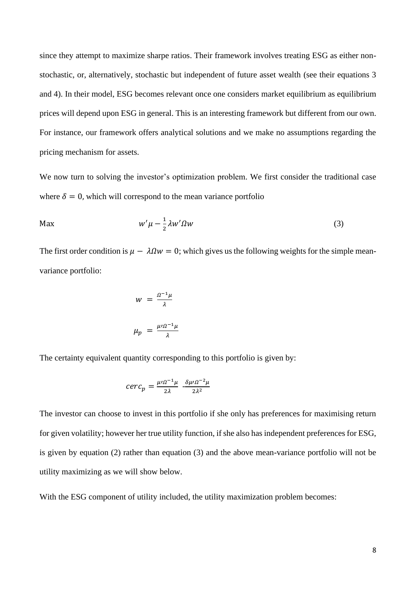since they attempt to maximize sharpe ratios. Their framework involves treating ESG as either nonstochastic, or, alternatively, stochastic but independent of future asset wealth (see their equations 3 and 4). In their model, ESG becomes relevant once one considers market equilibrium as equilibrium prices will depend upon ESG in general. This is an interesting framework but different from our own. For instance, our framework offers analytical solutions and we make no assumptions regarding the pricing mechanism for assets.

We now turn to solving the investor's optimization problem. We first consider the traditional case where  $\delta = 0$ , which will correspond to the mean variance portfolio

$$
W'\mu - \frac{1}{2}\lambda w'\Omega w \tag{3}
$$

The first order condition is  $\mu - \lambda \Omega w = 0$ ; which gives us the following weights for the simple meanvariance portfolio:

$$
w = \frac{a^{-1}\mu}{\lambda}
$$

$$
\mu_p = \frac{\mu\mu^2}{\lambda}
$$

The certainty equivalent quantity corresponding to this portfolio is given by:

$$
cerc_p = \frac{\mu \Omega^{-1} \mu}{2\lambda} - \frac{\delta \mu \Omega^{-2} \mu}{2\lambda^2}
$$

The investor can choose to invest in this portfolio if she only has preferences for maximising return for given volatility; however her true utility function, if she also has independent preferences for ESG, is given by equation (2) rather than equation (3) and the above mean-variance portfolio will not be utility maximizing as we will show below.

With the ESG component of utility included, the utility maximization problem becomes: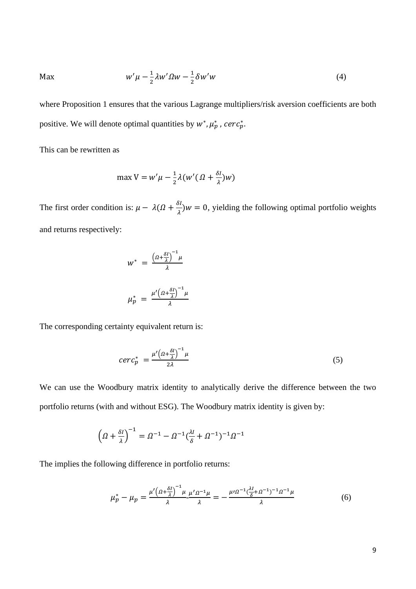$$
\mathsf{Max} \qquad \qquad w'\mu - \frac{1}{2}\lambda w'\Omega w - \frac{1}{2}\delta w'w \tag{4}
$$

where Proposition 1 ensures that the various Lagrange multipliers/risk aversion coefficients are both positive. We will denote optimal quantities by  $w^*$ ,  $\mu_p^*$ , cerc<sub>p</sub>.

This can be rewritten as

$$
\max V = w'\mu - \frac{1}{2}\lambda(w'(\Omega + \frac{\delta I}{\lambda})w)
$$

The first order condition is:  $\mu - \lambda(\Omega + \frac{\delta \mu}{\delta})$  $\frac{\partial I}{\partial \lambda}$ )*w* = 0, yielding the following optimal portfolio weights and returns respectively:

$$
w^* = \frac{\left(\Omega + \frac{\delta I}{\lambda}\right)^{-1} \mu}{\lambda}
$$

$$
\mu_p^* = \frac{\mu' \left(\Omega + \frac{\delta I}{\lambda}\right)^{-1} \mu}{\lambda}
$$

The corresponding certainty equivalent return is:

$$
cerc_p^* = \frac{\mu' \left(a + \frac{\delta l}{\lambda}\right)^{-1} \mu}{2\lambda} \tag{5}
$$

We can use the Woodbury matrix identity to analytically derive the difference between the two portfolio returns (with and without ESG). The Woodbury matrix identity is given by:

$$
\left(\varOmega + \frac{\delta l}{\lambda}\right)^{-1} = \varOmega^{-1} - \varOmega^{-1}(\frac{\lambda l}{\delta} + \varOmega^{-1})^{-1}\varOmega^{-1}
$$

The implies the following difference in portfolio returns:

$$
\mu_p^* - \mu_p = \frac{\mu' \left(\Omega + \frac{\delta I}{\lambda}\right)^{-1} \mu}{\lambda} \frac{\mu' \Omega^{-1} \mu}{\lambda} = -\frac{\mu' \Omega^{-1} (\frac{\lambda I}{\delta} + \Omega^{-1})^{-1} \Omega^{-1} \mu}{\lambda} \tag{6}
$$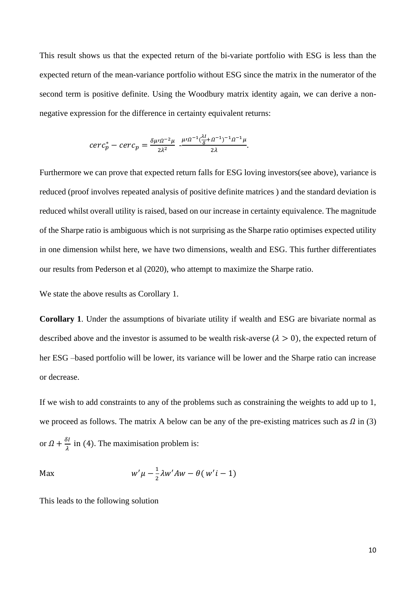This result shows us that the expected return of the bi-variate portfolio with ESG is less than the expected return of the mean-variance portfolio without ESG since the matrix in the numerator of the second term is positive definite. Using the Woodbury matrix identity again, we can derive a nonnegative expression for the difference in certainty equivalent returns:

$$
cerc_p^* - cerc_p = \frac{\delta \mu \cdot \Omega^{-2} \mu}{2\lambda^2} - \frac{\mu \cdot \Omega^{-1} (\frac{\lambda l}{\delta} + \Omega^{-1})^{-1} \Omega^{-1} \mu}{2\lambda}.
$$

Furthermore we can prove that expected return falls for ESG loving investors(see above), variance is reduced (proof involves repeated analysis of positive definite matrices ) and the standard deviation is reduced whilst overall utility is raised, based on our increase in certainty equivalence. The magnitude of the Sharpe ratio is ambiguous which is not surprising as the Sharpe ratio optimises expected utility in one dimension whilst here, we have two dimensions, wealth and ESG. This further differentiates our results from Pederson et al (2020), who attempt to maximize the Sharpe ratio.

We state the above results as Corollary 1.

**Corollary 1**. Under the assumptions of bivariate utility if wealth and ESG are bivariate normal as described above and the investor is assumed to be wealth risk-averse  $(\lambda > 0)$ , the expected return of her ESG –based portfolio will be lower, its variance will be lower and the Sharpe ratio can increase or decrease.

If we wish to add constraints to any of the problems such as constraining the weights to add up to 1, we proceed as follows. The matrix A below can be any of the pre-existing matrices such as  $\Omega$  in (3) or  $\Omega + \frac{\delta l}{\delta}$  $\frac{\partial}{\partial \lambda}$  in (4). The maximisation problem is:

$$
\mathsf{Max} \hspace{1cm} w'\mu - \frac{1}{2}\lambda w'Aw - \theta(w'i - 1)
$$

This leads to the following solution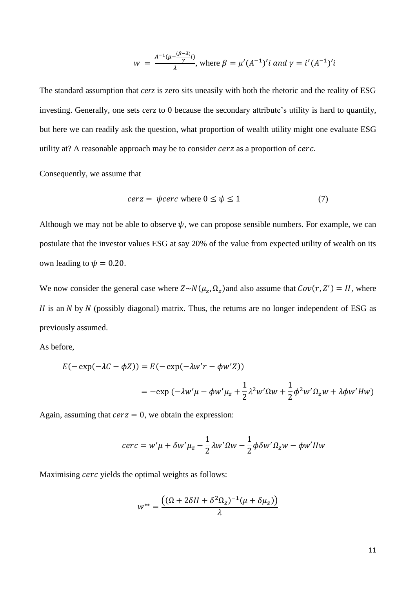$$
w = \frac{A^{-1}(\mu - \frac{(\beta - \lambda)}{\gamma}i)}{\lambda}
$$
, where  $\beta = \mu'(A^{-1})'i$  and  $\gamma = i'(A^{-1})'i$ 

The standard assumption that *cerz* is zero sits uneasily with both the rhetoric and the reality of ESG investing. Generally, one sets *cerz* to 0 because the secondary attribute's utility is hard to quantify, but here we can readily ask the question, what proportion of wealth utility might one evaluate ESG utility at? A reasonable approach may be to consider cerz as a proportion of cerc.

Consequently, we assume that

$$
cerz = \psi cerc \text{ where } 0 \le \psi \le 1 \tag{7}
$$

Although we may not be able to observe  $\psi$ , we can propose sensible numbers. For example, we can postulate that the investor values ESG at say 20% of the value from expected utility of wealth on its own leading to  $\psi = 0.20$ .

We now consider the general case where  $Z \sim N(\mu_z, \Omega_z)$  and also assume that  $Cov(r, Z') = H$ , where  $H$  is an  $N$  by  $N$  (possibly diagonal) matrix. Thus, the returns are no longer independent of ESG as previously assumed.

As before,

$$
E(-\exp(-\lambda C - \phi Z)) = E(-\exp(-\lambda w'r - \phi w'Z))
$$
  
= 
$$
-\exp(-\lambda w'\mu - \phi w'\mu_z + \frac{1}{2}\lambda^2 w'\Omega w + \frac{1}{2}\phi^2 w'\Omega_z w + \lambda \phi w' H w)
$$

Again, assuming that  $c$ erz = 0, we obtain the expression:

$$
cerc = w'\mu + \delta w'\mu_z - \frac{1}{2}\lambda w'\Omega w - \frac{1}{2}\phi\delta w'\Omega_z w - \phi w'Hw
$$

Maximising *cerc* yields the optimal weights as follows:

$$
w^{**} = \frac{((\Omega + 2\delta H + \delta^2 \Omega_z)^{-1}(\mu + \delta \mu_z))}{\lambda}
$$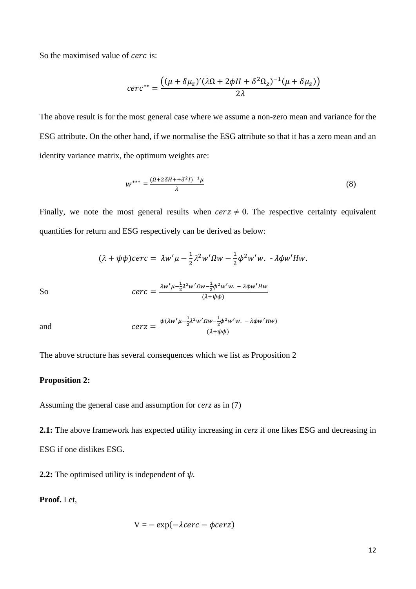So the maximised value of *cerc* is:

$$
cerc^{**} = \frac{((\mu + \delta\mu_z)'(\lambda\Omega + 2\phi H + \delta^2\Omega_z)^{-1}(\mu + \delta\mu_z))}{2\lambda}
$$

The above result is for the most general case where we assume a non-zero mean and variance for the ESG attribute. On the other hand, if we normalise the ESG attribute so that it has a zero mean and an identity variance matrix, the optimum weights are:

$$
W^{***} = \frac{(\Omega + 2\delta H + \delta^2 I)^{-1}\mu}{\lambda} \tag{8}
$$

Finally, we note the most general results when  $c$ erz  $\neq$  0. The respective certainty equivalent quantities for return and ESG respectively can be derived as below:

$$
(\lambda + \psi \phi) \text{cerc} = \lambda w' \mu - \frac{1}{2} \lambda^2 w' \Omega w - \frac{1}{2} \phi^2 w' w. - \lambda \phi w' H w.
$$

So 
$$
\text{Cerc} = \frac{\lambda w' \mu - \frac{1}{2} \lambda^2 w' \Omega w - \frac{1}{2} \phi^2 w' w. - \lambda \phi w' H w}{(\lambda + \psi \phi)}
$$

and 
$$
cerz = \frac{\psi(\lambda w'\mu - \frac{1}{2}\lambda^2 w'\Omega w - \frac{1}{2}\phi^2 w'w. - \lambda\phi w'Hw)}{(\lambda + \psi\phi)}
$$

The above structure has several consequences which we list as Proposition 2

#### **Proposition 2:**

Assuming the general case and assumption for *cerz* as in (7)

**2.1:** The above framework has expected utility increasing in *cerz* if one likes ESG and decreasing in ESG if one dislikes ESG.

**2.2:** The optimised utility is independent of  $\psi$ .

**Proof.** Let,

$$
V = - \exp(-\lambda cerc - \phi c e \tau z)
$$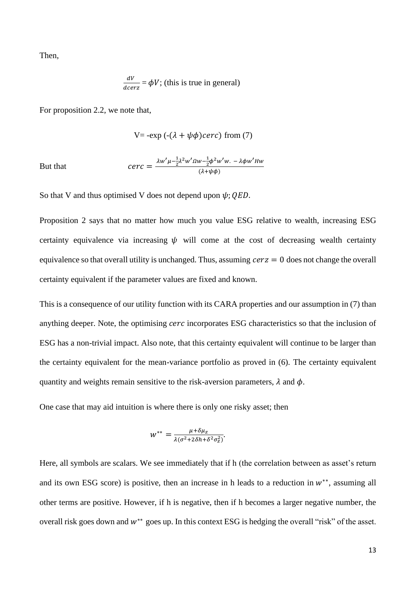Then,

$$
\frac{dV}{deerz} = \phi V
$$
; (this is true in general)

For proposition 2.2, we note that,

V = 
$$
-exp(-(\lambda + \psi \phi) \cdot \text{cerc})
$$
 from (7)

But tha

$$
cerc = \frac{\lambda w' \mu - \frac{1}{2} \lambda^2 w' \Omega w - \frac{1}{2} \phi^2 w' w. - \lambda \phi w' H w}{(\lambda + \psi \phi)}
$$

So that V and thus optimised V does not depend upon  $\psi$ ; *QED*.

Proposition 2 says that no matter how much you value ESG relative to wealth, increasing ESG certainty equivalence via increasing  $\psi$  will come at the cost of decreasing wealth certainty equivalence so that overall utility is unchanged. Thus, assuming  $c$ erz = 0 does not change the overall certainty equivalent if the parameter values are fixed and known.

This is a consequence of our utility function with its CARA properties and our assumption in (7) than anything deeper. Note, the optimising cerc incorporates ESG characteristics so that the inclusion of ESG has a non-trivial impact. Also note, that this certainty equivalent will continue to be larger than the certainty equivalent for the mean-variance portfolio as proved in (6). The certainty equivalent quantity and weights remain sensitive to the risk-aversion parameters,  $\lambda$  and  $\phi$ .

One case that may aid intuition is where there is only one risky asset; then

$$
w^{**} = \frac{\mu + \delta \mu_z}{\lambda (\sigma^2 + 2\delta h + \delta^2 \sigma_z^2)}.
$$

Here, all symbols are scalars. We see immediately that if h (the correlation between as asset's return and its own ESG score) is positive, then an increase in h leads to a reduction in  $w^{**}$ , assuming all other terms are positive. However, if h is negative, then if h becomes a larger negative number, the overall risk goes down and  $w^{**}$  goes up. In this context ESG is hedging the overall "risk" of the asset.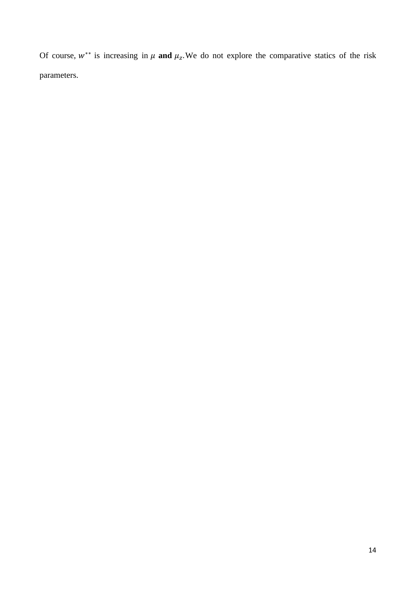Of course,  $w^{**}$  is increasing in  $\mu$  and  $\mu_z$ . We do not explore the comparative statics of the risk parameters.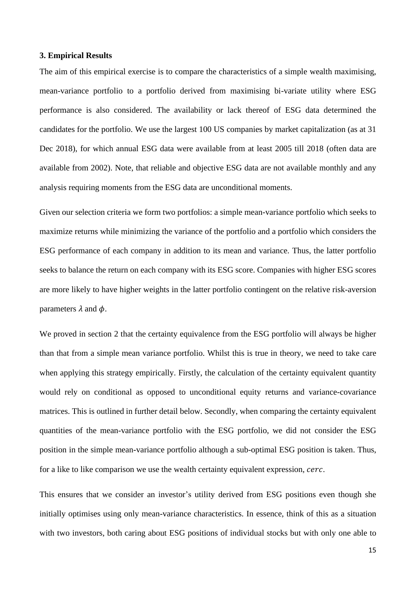#### **3. Empirical Results**

The aim of this empirical exercise is to compare the characteristics of a simple wealth maximising, mean-variance portfolio to a portfolio derived from maximising bi-variate utility where ESG performance is also considered. The availability or lack thereof of ESG data determined the candidates for the portfolio. We use the largest 100 US companies by market capitalization (as at 31 Dec 2018), for which annual ESG data were available from at least 2005 till 2018 (often data are available from 2002). Note, that reliable and objective ESG data are not available monthly and any analysis requiring moments from the ESG data are unconditional moments.

Given our selection criteria we form two portfolios: a simple mean-variance portfolio which seeks to maximize returns while minimizing the variance of the portfolio and a portfolio which considers the ESG performance of each company in addition to its mean and variance. Thus, the latter portfolio seeks to balance the return on each company with its ESG score. Companies with higher ESG scores are more likely to have higher weights in the latter portfolio contingent on the relative risk-aversion parameters  $\lambda$  and  $\phi$ .

We proved in section 2 that the certainty equivalence from the ESG portfolio will always be higher than that from a simple mean variance portfolio. Whilst this is true in theory, we need to take care when applying this strategy empirically. Firstly, the calculation of the certainty equivalent quantity would rely on conditional as opposed to unconditional equity returns and variance-covariance matrices. This is outlined in further detail below. Secondly, when comparing the certainty equivalent quantities of the mean-variance portfolio with the ESG portfolio, we did not consider the ESG position in the simple mean-variance portfolio although a sub-optimal ESG position is taken. Thus, for a like to like comparison we use the wealth certainty equivalent expression, *cerc*.

This ensures that we consider an investor's utility derived from ESG positions even though she initially optimises using only mean-variance characteristics. In essence, think of this as a situation with two investors, both caring about ESG positions of individual stocks but with only one able to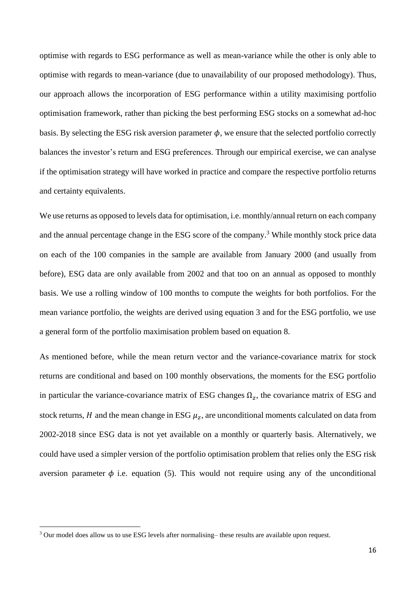optimise with regards to ESG performance as well as mean-variance while the other is only able to optimise with regards to mean-variance (due to unavailability of our proposed methodology). Thus, our approach allows the incorporation of ESG performance within a utility maximising portfolio optimisation framework, rather than picking the best performing ESG stocks on a somewhat ad-hoc basis. By selecting the ESG risk aversion parameter  $\phi$ , we ensure that the selected portfolio correctly balances the investor's return and ESG preferences. Through our empirical exercise, we can analyse if the optimisation strategy will have worked in practice and compare the respective portfolio returns and certainty equivalents.

We use returns as opposed to levels data for optimisation, i.e. monthly/annual return on each company and the annual percentage change in the ESG score of the company.<sup>3</sup> While monthly stock price data on each of the 100 companies in the sample are available from January 2000 (and usually from before), ESG data are only available from 2002 and that too on an annual as opposed to monthly basis. We use a rolling window of 100 months to compute the weights for both portfolios. For the mean variance portfolio, the weights are derived using equation 3 and for the ESG portfolio, we use a general form of the portfolio maximisation problem based on equation 8.

As mentioned before, while the mean return vector and the variance-covariance matrix for stock returns are conditional and based on 100 monthly observations, the moments for the ESG portfolio in particular the variance-covariance matrix of ESG changes  $\Omega_z$ , the covariance matrix of ESG and stock returns, H and the mean change in ESG  $\mu_z$ , are unconditional moments calculated on data from 2002-2018 since ESG data is not yet available on a monthly or quarterly basis. Alternatively, we could have used a simpler version of the portfolio optimisation problem that relies only the ESG risk aversion parameter  $\phi$  i.e. equation (5). This would not require using any of the unconditional

<sup>&</sup>lt;sup>3</sup> Our model does allow us to use ESG levels after normalising– these results are available upon request.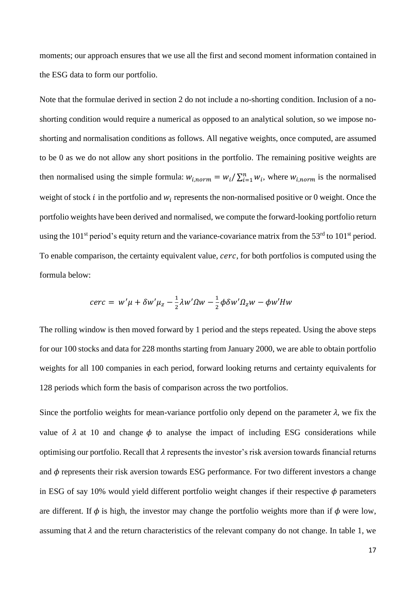moments; our approach ensures that we use all the first and second moment information contained in the ESG data to form our portfolio.

Note that the formulae derived in section 2 do not include a no-shorting condition. Inclusion of a noshorting condition would require a numerical as opposed to an analytical solution, so we impose noshorting and normalisation conditions as follows. All negative weights, once computed, are assumed to be 0 as we do not allow any short positions in the portfolio. The remaining positive weights are then normalised using the simple formula:  $w_{i,norm} = w_i / \sum_{i=1}^n w_i$ , where  $w_{i,norm}$  is the normalised weight of stock  $i$  in the portfolio and  $w_i$  represents the non-normalised positive or 0 weight. Once the portfolio weights have been derived and normalised, we compute the forward-looking portfolio return using the  $101<sup>st</sup>$  period's equity return and the variance-covariance matrix from the  $53<sup>rd</sup>$  to  $101<sup>st</sup>$  period. To enable comparison, the certainty equivalent value, *cerc*, for both portfolios is computed using the formula below:

$$
cerc = w'\mu + \delta w'\mu_z - \frac{1}{2}\lambda w'\Omega w - \frac{1}{2}\phi \delta w'\Omega_z w - \phi w'Hw
$$

The rolling window is then moved forward by 1 period and the steps repeated. Using the above steps for our 100 stocks and data for 228 months starting from January 2000, we are able to obtain portfolio weights for all 100 companies in each period, forward looking returns and certainty equivalents for 128 periods which form the basis of comparison across the two portfolios.

Since the portfolio weights for mean-variance portfolio only depend on the parameter  $\lambda$ , we fix the value of  $\lambda$  at 10 and change  $\phi$  to analyse the impact of including ESG considerations while optimising our portfolio. Recall that  $\lambda$  represents the investor's risk aversion towards financial returns and  $\phi$  represents their risk aversion towards ESG performance. For two different investors a change in ESG of say 10% would yield different portfolio weight changes if their respective  $\phi$  parameters are different. If  $\phi$  is high, the investor may change the portfolio weights more than if  $\phi$  were low, assuming that  $\lambda$  and the return characteristics of the relevant company do not change. In table 1, we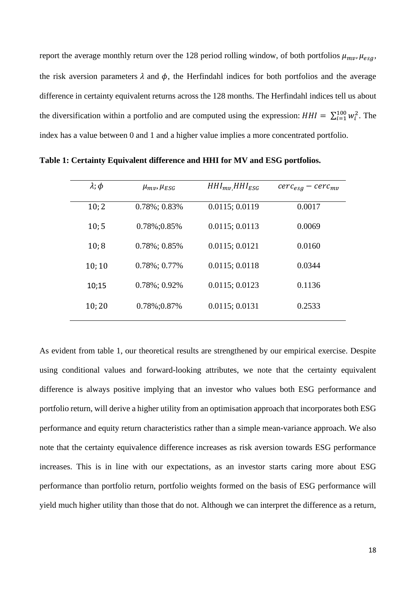report the average monthly return over the 128 period rolling window, of both portfolios  $\mu_{mv}$ ,  $\mu_{esg}$ , the risk aversion parameters  $\lambda$  and  $\phi$ , the Herfindahl indices for both portfolios and the average difference in certainty equivalent returns across the 128 months. The Herfindahl indices tell us about the diversification within a portfolio and are computed using the expression:  $HHI = \sum_{i=1}^{100} w_i^2$ . The index has a value between 0 and 1 and a higher value implies a more concentrated portfolio.

| $\lambda$ ; $\phi$ | $\mu_{mv}$ , $\mu_{ESG}$ | $HHI_{mv}HHI_{ESG}$ | $cerc_{esg} - cerc_{mv}$ |
|--------------------|--------------------------|---------------------|--------------------------|
| 10; 2              | $0.78\%; 0.83\%$         | 0.0115; 0.0119      | 0.0017                   |
| 10; 5              | 0.78%;0.85%              | 0.0115; 0.0113      | 0.0069                   |
| 10;8               | $0.78\%$ ; 0.85%         | 0.0115; 0.0121      | 0.0160                   |
| 10;10              | $0.78\%$ ; 0.77%         | 0.0115; 0.0118      | 0.0344                   |
| 10;15              | $0.78\%$ ; 0.92%         | 0.0115; 0.0123      | 0.1136                   |
| 10;20              | 0.78%;0.87%              | 0.0115; 0.0131      | 0.2533                   |

**Table 1: Certainty Equivalent difference and HHI for MV and ESG portfolios.** 

As evident from table 1, our theoretical results are strengthened by our empirical exercise. Despite using conditional values and forward-looking attributes, we note that the certainty equivalent difference is always positive implying that an investor who values both ESG performance and portfolio return, will derive a higher utility from an optimisation approach that incorporates both ESG performance and equity return characteristics rather than a simple mean-variance approach. We also note that the certainty equivalence difference increases as risk aversion towards ESG performance increases. This is in line with our expectations, as an investor starts caring more about ESG performance than portfolio return, portfolio weights formed on the basis of ESG performance will yield much higher utility than those that do not. Although we can interpret the difference as a return,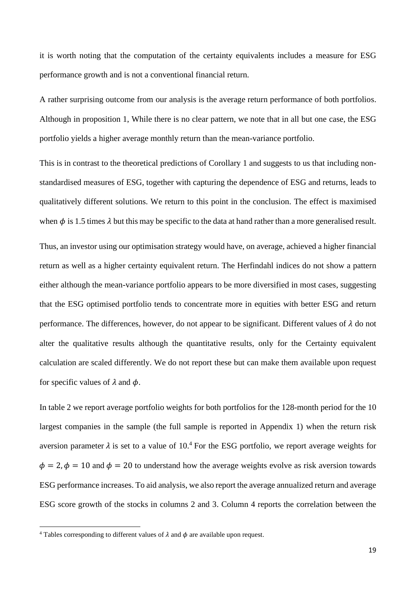it is worth noting that the computation of the certainty equivalents includes a measure for ESG performance growth and is not a conventional financial return.

A rather surprising outcome from our analysis is the average return performance of both portfolios. Although in proposition 1, While there is no clear pattern, we note that in all but one case, the ESG portfolio yields a higher average monthly return than the mean-variance portfolio.

This is in contrast to the theoretical predictions of Corollary 1 and suggests to us that including nonstandardised measures of ESG, together with capturing the dependence of ESG and returns, leads to qualitatively different solutions. We return to this point in the conclusion. The effect is maximised when  $\phi$  is 1.5 times  $\lambda$  but this may be specific to the data at hand rather than a more generalised result.

Thus, an investor using our optimisation strategy would have, on average, achieved a higher financial return as well as a higher certainty equivalent return. The Herfindahl indices do not show a pattern either although the mean-variance portfolio appears to be more diversified in most cases, suggesting that the ESG optimised portfolio tends to concentrate more in equities with better ESG and return performance. The differences, however, do not appear to be significant. Different values of  $\lambda$  do not alter the qualitative results although the quantitative results, only for the Certainty equivalent calculation are scaled differently. We do not report these but can make them available upon request for specific values of  $\lambda$  and  $\phi$ .

In table 2 we report average portfolio weights for both portfolios for the 128-month period for the 10 largest companies in the sample (the full sample is reported in Appendix 1) when the return risk aversion parameter  $\lambda$  is set to a value of 10.<sup>4</sup> For the ESG portfolio, we report average weights for  $\phi = 2$ ,  $\phi = 10$  and  $\phi = 20$  to understand how the average weights evolve as risk aversion towards ESG performance increases. To aid analysis, we also report the average annualized return and average ESG score growth of the stocks in columns 2 and 3. Column 4 reports the correlation between the

<sup>&</sup>lt;sup>4</sup> Tables corresponding to different values of  $\lambda$  and  $\phi$  are available upon request.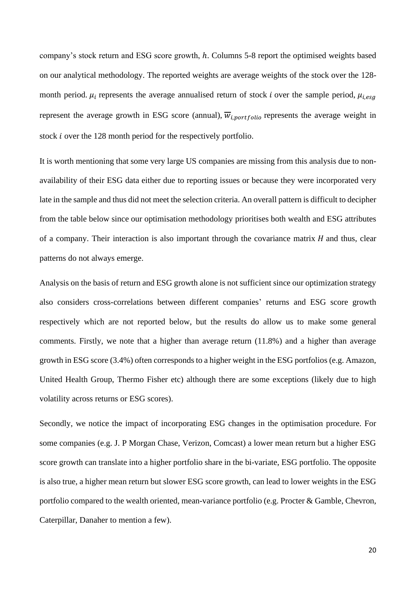company's stock return and ESG score growth, h. Columns 5-8 report the optimised weights based on our analytical methodology. The reported weights are average weights of the stock over the 128 month period.  $\mu_i$  represents the average annualised return of stock *i* over the sample period,  $\mu_{i,eg}$ represent the average growth in ESG score (annual),  $\overline{w}_{i, portfolio}$  represents the average weight in stock *i* over the 128 month period for the respectively portfolio.

It is worth mentioning that some very large US companies are missing from this analysis due to nonavailability of their ESG data either due to reporting issues or because they were incorporated very late in the sample and thus did not meet the selection criteria. An overall pattern is difficult to decipher from the table below since our optimisation methodology prioritises both wealth and ESG attributes of a company. Their interaction is also important through the covariance matrix  $H$  and thus, clear patterns do not always emerge.

Analysis on the basis of return and ESG growth alone is not sufficient since our optimization strategy also considers cross-correlations between different companies' returns and ESG score growth respectively which are not reported below, but the results do allow us to make some general comments. Firstly, we note that a higher than average return (11.8%) and a higher than average growth in ESG score (3.4%) often corresponds to a higher weight in the ESG portfolios (e.g. Amazon, United Health Group, Thermo Fisher etc) although there are some exceptions (likely due to high volatility across returns or ESG scores).

Secondly, we notice the impact of incorporating ESG changes in the optimisation procedure. For some companies (e.g. J. P Morgan Chase, Verizon, Comcast) a lower mean return but a higher ESG score growth can translate into a higher portfolio share in the bi-variate, ESG portfolio. The opposite is also true, a higher mean return but slower ESG score growth, can lead to lower weights in the ESG portfolio compared to the wealth oriented, mean-variance portfolio (e.g. Procter & Gamble, Chevron, Caterpillar, Danaher to mention a few).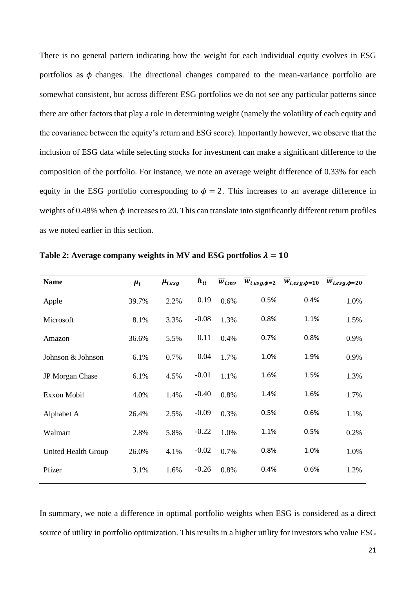There is no general pattern indicating how the weight for each individual equity evolves in ESG portfolios as  $\phi$  changes. The directional changes compared to the mean-variance portfolio are somewhat consistent, but across different ESG portfolios we do not see any particular patterns since there are other factors that play a role in determining weight (namely the volatility of each equity and the covariance between the equity's return and ESG score). Importantly however, we observe that the inclusion of ESG data while selecting stocks for investment can make a significant difference to the composition of the portfolio. For instance, we note an average weight difference of 0.33% for each equity in the ESG portfolio corresponding to  $\phi = 2$ . This increases to an average difference in weights of 0.48% when  $\phi$  increases to 20. This can translate into significantly different return profiles as we noted earlier in this section.

| <b>Name</b>         | $\mu_i$ | $\mu_{i,esg}$ | $h_{ii}$ | $W_{i,m\nu}$ | $W_{i, esg, \phi=2}$ | $W_{i, esg, \phi=10}$ | $W_{i, esg, \phi=20}$ |
|---------------------|---------|---------------|----------|--------------|----------------------|-----------------------|-----------------------|
| Apple               | 39.7%   | 2.2%          | 0.19     | 0.6%         | 0.5%                 | 0.4%                  | 1.0%                  |
| Microsoft           | 8.1%    | 3.3%          | $-0.08$  | 1.3%         | 0.8%                 | 1.1%                  | 1.5%                  |
| Amazon              | 36.6%   | 5.5%          | 0.11     | 0.4%         | 0.7%                 | 0.8%                  | 0.9%                  |
| Johnson & Johnson   | 6.1%    | 0.7%          | 0.04     | 1.7%         | 1.0%                 | 1.9%                  | 0.9%                  |
| JP Morgan Chase     | 6.1%    | 4.5%          | $-0.01$  | 1.1%         | 1.6%                 | 1.5%                  | 1.3%                  |
| Exxon Mobil         | 4.0%    | 1.4%          | $-0.40$  | 0.8%         | 1.4%                 | 1.6%                  | 1.7%                  |
| Alphabet A          | 26.4%   | 2.5%          | $-0.09$  | 0.3%         | 0.5%                 | 0.6%                  | 1.1%                  |
| Walmart             | 2.8%    | 5.8%          | $-0.22$  | 1.0%         | 1.1%                 | 0.5%                  | 0.2%                  |
| United Health Group | 26.0%   | 4.1%          | $-0.02$  | 0.7%         | 0.8%                 | 1.0%                  | 1.0%                  |
| Pfizer              | 3.1%    | 1.6%          | $-0.26$  | 0.8%         | 0.4%                 | 0.6%                  | 1.2%                  |

Table 2: Average company weights in MV and ESG portfolios  $\lambda = 10$ 

In summary, we note a difference in optimal portfolio weights when ESG is considered as a direct source of utility in portfolio optimization. This results in a higher utility for investors who value ESG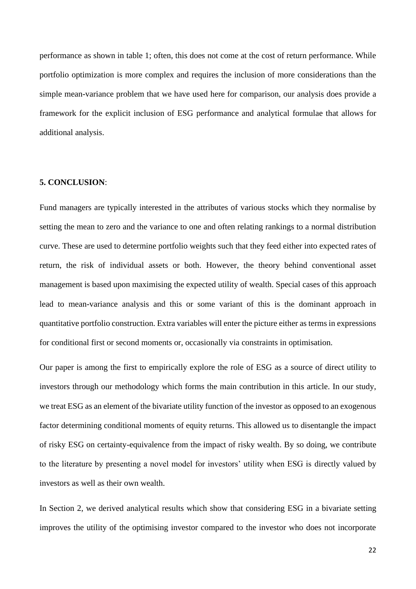performance as shown in table 1; often, this does not come at the cost of return performance. While portfolio optimization is more complex and requires the inclusion of more considerations than the simple mean-variance problem that we have used here for comparison, our analysis does provide a framework for the explicit inclusion of ESG performance and analytical formulae that allows for additional analysis.

#### **5. CONCLUSION**:

Fund managers are typically interested in the attributes of various stocks which they normalise by setting the mean to zero and the variance to one and often relating rankings to a normal distribution curve. These are used to determine portfolio weights such that they feed either into expected rates of return, the risk of individual assets or both. However, the theory behind conventional asset management is based upon maximising the expected utility of wealth. Special cases of this approach lead to mean-variance analysis and this or some variant of this is the dominant approach in quantitative portfolio construction. Extra variables will enter the picture either as terms in expressions for conditional first or second moments or, occasionally via constraints in optimisation.

Our paper is among the first to empirically explore the role of ESG as a source of direct utility to investors through our methodology which forms the main contribution in this article. In our study, we treat ESG as an element of the bivariate utility function of the investor as opposed to an exogenous factor determining conditional moments of equity returns. This allowed us to disentangle the impact of risky ESG on certainty-equivalence from the impact of risky wealth. By so doing, we contribute to the literature by presenting a novel model for investors' utility when ESG is directly valued by investors as well as their own wealth.

In Section 2, we derived analytical results which show that considering ESG in a bivariate setting improves the utility of the optimising investor compared to the investor who does not incorporate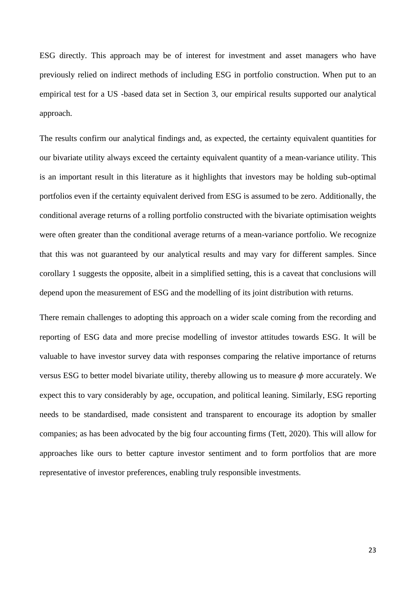ESG directly. This approach may be of interest for investment and asset managers who have previously relied on indirect methods of including ESG in portfolio construction. When put to an empirical test for a US -based data set in Section 3, our empirical results supported our analytical approach.

The results confirm our analytical findings and, as expected, the certainty equivalent quantities for our bivariate utility always exceed the certainty equivalent quantity of a mean-variance utility. This is an important result in this literature as it highlights that investors may be holding sub-optimal portfolios even if the certainty equivalent derived from ESG is assumed to be zero. Additionally, the conditional average returns of a rolling portfolio constructed with the bivariate optimisation weights were often greater than the conditional average returns of a mean-variance portfolio. We recognize that this was not guaranteed by our analytical results and may vary for different samples. Since corollary 1 suggests the opposite, albeit in a simplified setting, this is a caveat that conclusions will depend upon the measurement of ESG and the modelling of its joint distribution with returns.

There remain challenges to adopting this approach on a wider scale coming from the recording and reporting of ESG data and more precise modelling of investor attitudes towards ESG. It will be valuable to have investor survey data with responses comparing the relative importance of returns versus ESG to better model bivariate utility, thereby allowing us to measure  $\phi$  more accurately. We expect this to vary considerably by age, occupation, and political leaning. Similarly, ESG reporting needs to be standardised, made consistent and transparent to encourage its adoption by smaller companies; as has been advocated by the big four accounting firms (Tett, 2020). This will allow for approaches like ours to better capture investor sentiment and to form portfolios that are more representative of investor preferences, enabling truly responsible investments.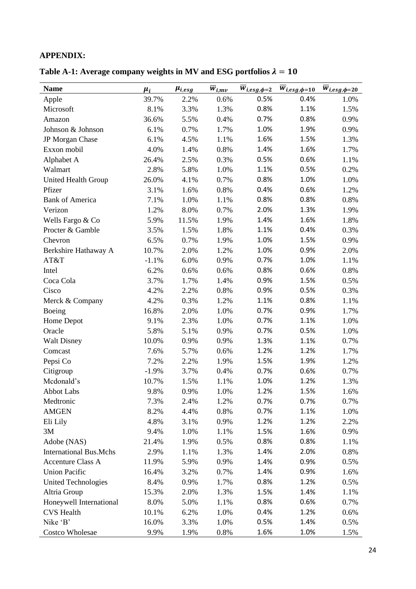### **APPENDIX:**

Table A-1: Average company weights in MV and ESG portfolios  $\lambda = 10$ 

| <b>Name</b>                   | $\mu_i$ | $\mu_{i, e \underline{s} \underline{g}}$ | $\overline{w}_{i,\underline{mv}}$ | $\overline{w}_{i, \text{esg}, \phi=2}$ | $\overline{w}_{i, esg, \phi=10}$ | $\overline{w}_{i, esg, \phi=20}$ |
|-------------------------------|---------|------------------------------------------|-----------------------------------|----------------------------------------|----------------------------------|----------------------------------|
| Apple                         | 39.7%   | 2.2%                                     | 0.6%                              | 0.5%                                   | 0.4%                             | 1.0%                             |
| Microsoft                     | 8.1%    | 3.3%                                     | 1.3%                              | 0.8%                                   | 1.1%                             | 1.5%                             |
| Amazon                        | 36.6%   | 5.5%                                     | 0.4%                              | 0.7%                                   | 0.8%                             | 0.9%                             |
| Johnson & Johnson             | 6.1%    | 0.7%                                     | 1.7%                              | 1.0%                                   | 1.9%                             | 0.9%                             |
| JP Morgan Chase               | 6.1%    | 4.5%                                     | 1.1%                              | 1.6%                                   | 1.5%                             | 1.3%                             |
| Exxon mobil                   | 4.0%    | 1.4%                                     | 0.8%                              | 1.4%                                   | 1.6%                             | 1.7%                             |
| Alphabet A                    | 26.4%   | 2.5%                                     | 0.3%                              | 0.5%                                   | 0.6%                             | 1.1%                             |
| Walmart                       | 2.8%    | 5.8%                                     | 1.0%                              | 1.1%                                   | 0.5%                             | 0.2%                             |
| <b>United Health Group</b>    | 26.0%   | 4.1%                                     | 0.7%                              | 0.8%                                   | 1.0%                             | 1.0%                             |
| Pfizer                        | 3.1%    | 1.6%                                     | 0.8%                              | 0.4%                                   | 0.6%                             | 1.2%                             |
| <b>Bank of America</b>        | 7.1%    | 1.0%                                     | 1.1%                              | 0.8%                                   | 0.8%                             | 0.8%                             |
| Verizon                       | 1.2%    | 8.0%                                     | 0.7%                              | 2.0%                                   | 1.3%                             | 1.9%                             |
| Wells Fargo & Co              | 5.9%    | 11.5%                                    | 1.9%                              | 1.4%                                   | 1.6%                             | 1.8%                             |
| Procter & Gamble              | 3.5%    | 1.5%                                     | 1.8%                              | 1.1%                                   | 0.4%                             | 0.3%                             |
| Chevron                       | 6.5%    | 0.7%                                     | 1.9%                              | 1.0%                                   | 1.5%                             | 0.9%                             |
| Berkshire Hathaway A          | 10.7%   | 2.0%                                     | 1.2%                              | 1.0%                                   | 0.9%                             | 2.0%                             |
| AT&T                          | $-1.1%$ | 6.0%                                     | 0.9%                              | 0.7%                                   | 1.0%                             | 1.1%                             |
| Intel                         | 6.2%    | 0.6%                                     | 0.6%                              | 0.8%                                   | 0.6%                             | 0.8%                             |
| Coca Cola                     | 3.7%    | 1.7%                                     | 1.4%                              | 0.9%                                   | 1.5%                             | 0.5%                             |
| Cisco                         | 4.2%    | 2.2%                                     | 0.8%                              | 0.9%                                   | 0.5%                             | 0.3%                             |
| Merck & Company               | 4.2%    | 0.3%                                     | 1.2%                              | 1.1%                                   | 0.8%                             | 1.1%                             |
| Boeing                        | 16.8%   | 2.0%                                     | 1.0%                              | 0.7%                                   | 0.9%                             | 1.7%                             |
| Home Depot                    | 9.1%    | 2.3%                                     | 1.0%                              | 0.7%                                   | 1.1%                             | 1.0%                             |
| Oracle                        | 5.8%    | 5.1%                                     | 0.9%                              | 0.7%                                   | 0.5%                             | 1.0%                             |
| <b>Walt Disney</b>            | 10.0%   | 0.9%                                     | 0.9%                              | 1.3%                                   | 1.1%                             | 0.7%                             |
| Comcast                       | 7.6%    | 5.7%                                     | 0.6%                              | 1.2%                                   | 1.2%                             | 1.7%                             |
| Pepsi Co                      | 7.2%    | 2.2%                                     | 1.9%                              | 1.5%                                   | 1.9%                             | 1.2%                             |
| Citigroup                     | $-1.9%$ | 3.7%                                     | 0.4%                              | 0.7%                                   | 0.6%                             | 0.7%                             |
| Mcdonald's                    | 10.7%   | 1.5%                                     | 1.1%                              | 1.0%                                   | 1.2%                             | 1.3%                             |
| <b>Abbot Labs</b>             | 9.8%    | 0.9%                                     | 1.0%                              | 1.2%                                   | 1.5%                             | 1.6%                             |
| Medtronic                     | 7.3%    | 2.4%                                     | 1.2%                              | 0.7%                                   | 0.7%                             | 0.7%                             |
| <b>AMGEN</b>                  | 8.2%    | 4.4%                                     | 0.8%                              | 0.7%                                   | 1.1%                             | 1.0%                             |
| Eli Lily                      | 4.8%    | 3.1%                                     | 0.9%                              | 1.2%                                   | 1.2%                             | 2.2%                             |
| 3M                            | 9.4%    | 1.0%                                     | 1.1%                              | 1.5%                                   | 1.6%                             | 0.9%                             |
| Adobe (NAS)                   | 21.4%   | 1.9%                                     | 0.5%                              | 0.8%                                   | 0.8%                             | 1.1%                             |
| <b>International Bus.Mchs</b> | 2.9%    | 1.1%                                     | 1.3%                              | 1.4%                                   | 2.0%                             | 0.8%                             |
| <b>Accenture Class A</b>      | 11.9%   | 5.9%                                     | 0.9%                              | 1.4%                                   | 0.9%                             | 0.5%                             |
| <b>Union Pacific</b>          | 16.4%   | 3.2%                                     | 0.7%                              | 1.4%                                   | 0.9%                             | 1.6%                             |
| <b>United Technologies</b>    | 8.4%    | 0.9%                                     | 1.7%                              | 0.8%                                   | 1.2%                             | 0.5%                             |
| Altria Group                  | 15.3%   | 2.0%                                     | 1.3%                              | 1.5%                                   | 1.4%                             | 1.1%                             |
| Honeywell International       | 8.0%    | 5.0%                                     | 1.1%                              | 0.8%                                   | 0.6%                             | 0.7%                             |
| <b>CVS</b> Health             | 10.1%   | 6.2%                                     | 1.0%                              | 0.4%                                   | 1.2%                             | 0.6%                             |
| Nike 'B'                      | 16.0%   | 3.3%                                     | 1.0%                              | 0.5%                                   | 1.4%                             | 0.5%                             |
| <b>Costco Wholesae</b>        | 9.9%    | 1.9%                                     | 0.8%                              | 1.6%                                   | 1.0%                             | 1.5%                             |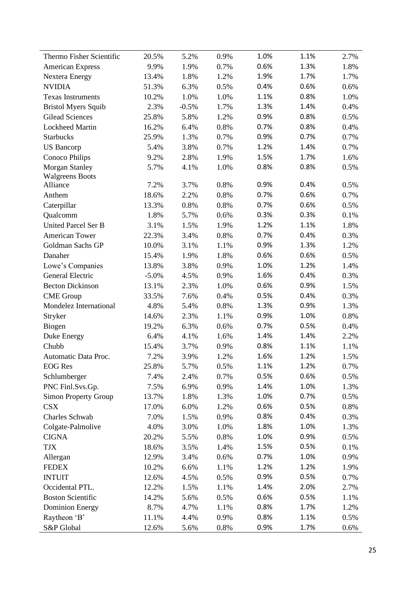| Thermo Fisher Scientific    | 20.5%   | 5.2%    | 0.9% | 1.0% | 1.1% | 2.7% |
|-----------------------------|---------|---------|------|------|------|------|
| <b>American Express</b>     | 9.9%    | 1.9%    | 0.7% | 0.6% | 1.3% | 1.8% |
| <b>Nextera Energy</b>       | 13.4%   | 1.8%    | 1.2% | 1.9% | 1.7% | 1.7% |
| <b>NVIDIA</b>               | 51.3%   | 6.3%    | 0.5% | 0.4% | 0.6% | 0.6% |
| <b>Texas Instruments</b>    | 10.2%   | 1.0%    | 1.0% | 1.1% | 0.8% | 1.0% |
| <b>Bristol Myers Squib</b>  | 2.3%    | $-0.5%$ | 1.7% | 1.3% | 1.4% | 0.4% |
| <b>Gilead Sciences</b>      | 25.8%   | 5.8%    | 1.2% | 0.9% | 0.8% | 0.5% |
| <b>Lockheed Martin</b>      | 16.2%   | 6.4%    | 0.8% | 0.7% | 0.8% | 0.4% |
| Starbucks                   | 25.9%   | 1.3%    | 0.7% | 0.9% | 0.7% | 0.7% |
| <b>US</b> Bancorp           | 5.4%    | 3.8%    | 0.7% | 1.2% | 1.4% | 0.7% |
| Conoco Philips              | 9.2%    | 2.8%    | 1.9% | 1.5% | 1.7% | 1.6% |
| <b>Morgan Stanley</b>       | 5.7%    | 4.1%    | 1.0% | 0.8% | 0.8% | 0.5% |
| <b>Walgreens Boots</b>      |         |         |      |      |      |      |
| Alliance                    | 7.2%    | 3.7%    | 0.8% | 0.9% | 0.4% | 0.5% |
| Anthem                      | 18.6%   | 2.2%    | 0.8% | 0.7% | 0.6% | 0.7% |
| Caterpillar                 | 13.3%   | 0.8%    | 0.8% | 0.7% | 0.6% | 0.5% |
| Qualcomm                    | 1.8%    | 5.7%    | 0.6% | 0.3% | 0.3% | 0.1% |
| <b>United Parcel Ser B</b>  | 3.1%    | 1.5%    | 1.9% | 1.2% | 1.1% | 1.8% |
| <b>American Tower</b>       | 22.3%   | 3.4%    | 0.8% | 0.7% | 0.4% | 0.3% |
| Goldman Sachs GP            | 10.0%   | 3.1%    | 1.1% | 0.9% | 1.3% | 1.2% |
| Danaher                     | 15.4%   | 1.9%    | 1.8% | 0.6% | 0.6% | 0.5% |
| Lowe's Companies            | 13.8%   | 3.8%    | 0.9% | 1.0% | 1.2% | 1.4% |
| <b>General Electric</b>     | $-5.0%$ | 4.5%    | 0.9% | 1.6% | 0.4% | 0.3% |
| <b>Becton Dickinson</b>     | 13.1%   | 2.3%    | 1.0% | 0.6% | 0.9% | 1.5% |
| <b>CME</b> Group            | 33.5%   | 7.6%    | 0.4% | 0.5% | 0.4% | 0.3% |
| Mondelez International      | 4.8%    | 5.4%    | 0.8% | 1.3% | 0.9% | 1.3% |
| Stryker                     | 14.6%   | 2.3%    | 1.1% | 0.9% | 1.0% | 0.8% |
| Biogen                      | 19.2%   | 6.3%    | 0.6% | 0.7% | 0.5% | 0.4% |
| Duke Energy                 | 6.4%    | 4.1%    | 1.6% | 1.4% | 1.4% | 2.2% |
| Chubb                       | 15.4%   | 3.7%    | 0.9% | 0.8% | 1.1% | 1.1% |
| Automatic Data Proc.        | 7.2%    | 3.9%    | 1.2% | 1.6% | 1.2% | 1.5% |
| <b>EOG</b> Res              | 25.8%   | 5.7%    | 0.5% | 1.1% | 1.2% | 0.7% |
| Schlumberger                | 7.4%    | 2.4%    | 0.7% | 0.5% | 0.6% | 0.5% |
| PNC Finl.Svs.Gp.            | 7.5%    | 6.9%    | 0.9% | 1.4% | 1.0% | 1.3% |
| <b>Simon Property Group</b> | 13.7%   | 1.8%    | 1.3% | 1.0% | 0.7% | 0.5% |
| <b>CSX</b>                  | 17.0%   | 6.0%    | 1.2% | 0.6% | 0.5% | 0.8% |
| Charles Schwab              | 7.0%    | 1.5%    | 0.9% | 0.8% | 0.4% | 0.3% |
| Colgate-Palmolive           | 4.0%    | 3.0%    | 1.0% | 1.8% | 1.0% | 1.3% |
| <b>CIGNA</b>                | 20.2%   | 5.5%    | 0.8% | 1.0% | 0.9% | 0.5% |
| <b>TJX</b>                  | 18.6%   | 3.5%    | 1.4% | 1.5% | 0.5% | 0.1% |
| Allergan                    | 12.9%   | 3.4%    | 0.6% | 0.7% | 1.0% | 0.9% |
| <b>FEDEX</b>                | 10.2%   | 6.6%    | 1.1% | 1.2% | 1.2% | 1.9% |
| <b>INTUIT</b>               | 12.6%   | 4.5%    | 0.5% | 0.9% | 0.5% | 0.7% |
| Occidental PTL.             | 12.2%   | 1.5%    | 1.1% | 1.4% | 2.0% | 2.7% |
| <b>Boston Scientific</b>    | 14.2%   | 5.6%    | 0.5% | 0.6% | 0.5% | 1.1% |
| <b>Dominion Energy</b>      | 8.7%    | 4.7%    | 1.1% | 0.8% | 1.7% | 1.2% |
| Raytheon 'B'                | 11.1%   | 4.4%    | 0.9% | 0.8% | 1.1% | 0.5% |
| S&P Global                  | 12.6%   | 5.6%    | 0.8% | 0.9% | 1.7% | 0.6% |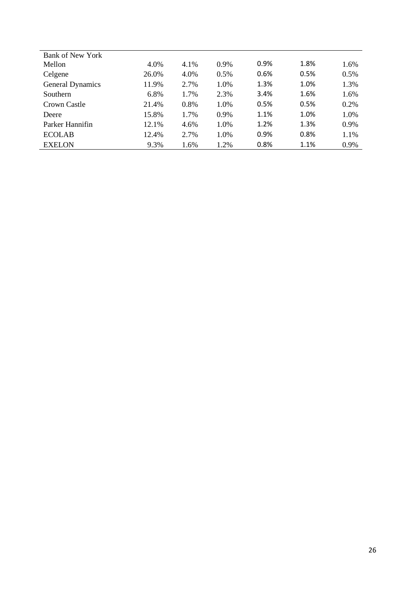| <b>Bank of New York</b> |       |      |         |      |      |      |
|-------------------------|-------|------|---------|------|------|------|
| Mellon                  | 4.0%  | 4.1% | $0.9\%$ | 0.9% | 1.8% | 1.6% |
| Celgene                 | 26.0% | 4.0% | 0.5%    | 0.6% | 0.5% | 0.5% |
| <b>General Dynamics</b> | 11.9% | 2.7% | 1.0%    | 1.3% | 1.0% | 1.3% |
| Southern                | 6.8%  | 1.7% | 2.3%    | 3.4% | 1.6% | 1.6% |
| Crown Castle            | 21.4% | 0.8% | 1.0%    | 0.5% | 0.5% | 0.2% |
| Deere                   | 15.8% | 1.7% | 0.9%    | 1.1% | 1.0% | 1.0% |
| Parker Hannifin         | 12.1% | 4.6% | 1.0%    | 1.2% | 1.3% | 0.9% |
| <b>ECOLAB</b>           | 12.4% | 2.7% | 1.0%    | 0.9% | 0.8% | 1.1% |
| <b>EXELON</b>           | 9.3%  | 1.6% | 1.2%    | 0.8% | 1.1% | 0.9% |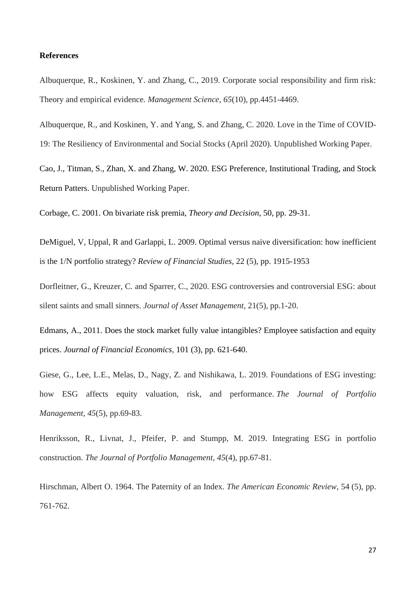#### **References**

Albuquerque, R., Koskinen, Y. and Zhang, C., 2019. Corporate social responsibility and firm risk: Theory and empirical evidence. *Management Science*, *65*(10), pp.4451-4469.

Albuquerque, R., and Koskinen, Y. and Yang, S. and Zhang, C. 2020. Love in the Time of COVID-19: The Resiliency of Environmental and Social Stocks (April 2020). Unpublished Working Paper.

Cao, J., Titman, S., Zhan, X. and Zhang, W. 2020. ESG Preference, Institutional Trading, and Stock Return Patters. Unpublished Working Paper.

Corbage, C. 2001. On bivariate risk premia, *Theory and Decision*, 50, pp. 29-31.

DeMiguel, V, Uppal, R and Garlappi, L. 2009. Optimal versus naive diversification: how inefficient is the 1/N portfolio strategy? *Review of Financial Studies*, 22 (5), pp. 1915-1953

Dorfleitner, G., Kreuzer, C. and Sparrer, C., 2020. ESG controversies and controversial ESG: about silent saints and small sinners. *Journal of Asset Management*, 21(5), pp.1-20.

Edmans, A., 2011. Does the stock market fully value intangibles? Employee satisfaction and equity prices. *Journal of Financial Economics*, 101 (3), pp. 621-640.

Giese, G., Lee, L.E., Melas, D., Nagy, Z. and Nishikawa, L. 2019. Foundations of ESG investing: how ESG affects equity valuation, risk, and performance. *The Journal of Portfolio Management*, *45*(5), pp.69-83.

Henriksson, R., Livnat, J., Pfeifer, P. and Stumpp, M. 2019. Integrating ESG in portfolio construction. *The Journal of Portfolio Management*, *45*(4), pp.67-81.

Hirschman, Albert O. 1964. The Paternity of an Index. *The American Economic Review*, 54 (5), pp. 761-762.